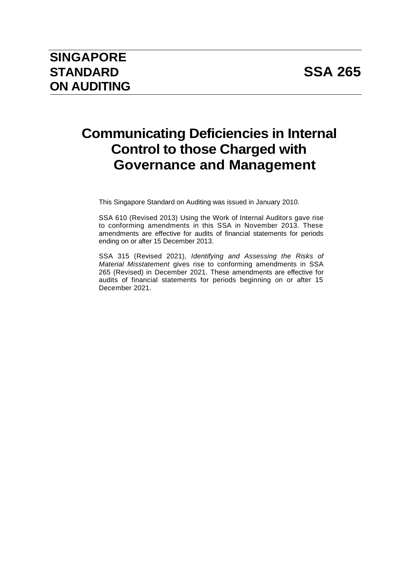# **Communicating Deficiencies in Internal Control to those Charged with Governance and Management**

This Singapore Standard on Auditing was issued in January 2010.

SSA 610 (Revised 2013) Using the Work of Internal Auditors gave rise to conforming amendments in this SSA in November 2013. These amendments are effective for audits of financial statements for periods ending on or after 15 December 2013.

SSA 315 (Revised 2021), *Identifying and Assessing the Risks of Material Misstatement* gives rise to conforming amendments in SSA 265 (Revised) in December 2021. These amendments are effective for audits of financial statements for periods beginning on or after 15 December 2021.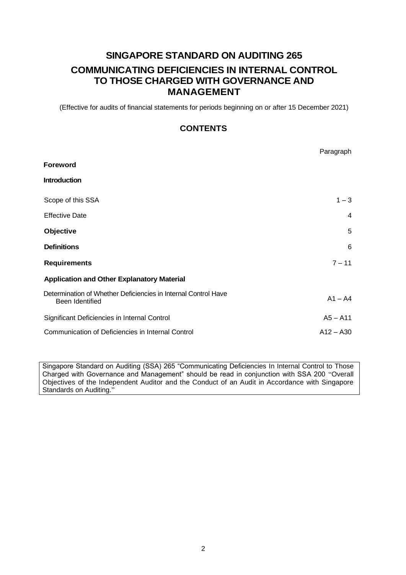# **SINGAPORE STANDARD ON AUDITING 265 COMMUNICATING DEFICIENCIES IN INTERNAL CONTROL TO THOSE CHARGED WITH GOVERNANCE AND MANAGEMENT**

(Effective for audits of financial statements for periods beginning on or after 15 December 2021)

### **CONTENTS**

|                                                                                   | Paragraph      |
|-----------------------------------------------------------------------------------|----------------|
| <b>Foreword</b>                                                                   |                |
| Introduction                                                                      |                |
| Scope of this SSA                                                                 | $1 - 3$        |
| <b>Effective Date</b>                                                             | $\overline{4}$ |
| Objective                                                                         | 5              |
| <b>Definitions</b>                                                                | 6              |
| <b>Requirements</b>                                                               | $7 - 11$       |
| <b>Application and Other Explanatory Material</b>                                 |                |
| Determination of Whether Deficiencies in Internal Control Have<br>Been Identified | $A1 - A4$      |
| Significant Deficiencies in Internal Control                                      | $A5 - A11$     |
| Communication of Deficiencies in Internal Control                                 | $A12 - A30$    |

Singapore Standard on Auditing (SSA) 265 "Communicating Deficiencies In Internal Control to Those Charged with Governance and Management" should be read in conjunction with SSA 200 "Overall Objectives of the Independent Auditor and the Conduct of an Audit in Accordance with Singapore Standards on Auditing."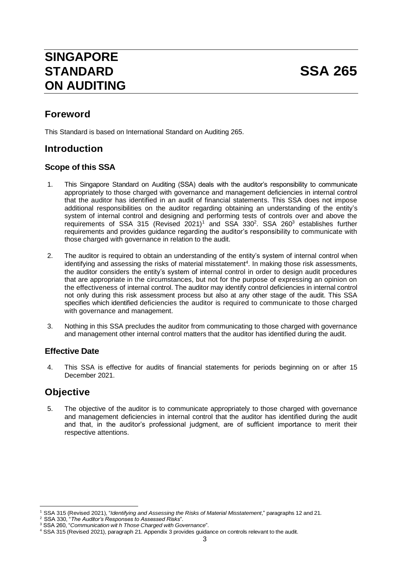# **SINGAPORE STANDARD SSA 265 ON AUDITING**

# **Foreword**

This Standard is based on International Standard on Auditing 265.

## **Introduction**

#### **Scope of this SSA**

- 1. This Singapore Standard on Auditing (SSA) deals with the auditor's responsibility to communicate appropriately to those charged with governance and management deficiencies in internal control that the auditor has identified in an audit of financial statements. This SSA does not impose additional responsibilities on the auditor regarding obtaining an understanding of the entity's system of internal control and designing and performing tests of controls over and above the requirements of SSA 315 (Revised 2021)<sup>1</sup> and SSA 330<sup>2</sup>. SSA 260<sup>3</sup> establishes further requirements and provides guidance regarding the auditor's responsibility to communicate with those charged with governance in relation to the audit.
- 2. The auditor is required to obtain an understanding of the entity's system of internal control when identifying and assessing the risks of material misstatement<sup>4</sup>. In making those risk assessments, the auditor considers the entity's system of internal control in order to design audit procedures that are appropriate in the circumstances, but not for the purpose of expressing an opinion on the effectiveness of internal control. The auditor may identify control deficiencies in internal control not only during this risk assessment process but also at any other stage of the audit. This SSA specifies which identified deficiencies the auditor is required to communicate to those charged with governance and management.
- 3. Nothing in this SSA precludes the auditor from communicating to those charged with governance and management other internal control matters that the auditor has identified during the audit.

#### **Effective Date**

4. This SSA is effective for audits of financial statements for periods beginning on or after 15 December 2021.

## **Objective**

5. The objective of the auditor is to communicate appropriately to those charged with governance and management deficiencies in internal control that the auditor has identified during the audit and that, in the auditor's professional judgment, are of sufficient importance to merit their respective attentions.

<sup>1</sup> SSA 315 (Revised 2021), "*Identifying and Assessing the Risks of Material Misstatement*," paragraphs 12 and 21.

<sup>2</sup> SSA 330, "*The Auditor's Responses to Assessed Risks*".

<sup>3</sup> SSA 260, "*Communication wit h Those Charged with Governance*".

<sup>4</sup> SSA 315 (Revised 2021), paragraph 21. Appendix 3 provides guidance on controls relevant to the audit.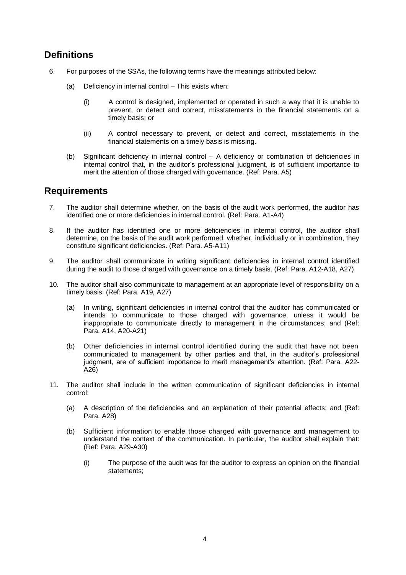## **Definitions**

- 6. For purposes of the SSAs, the following terms have the meanings attributed below:
	- (a) Deficiency in internal control This exists when:
		- (i) A control is designed, implemented or operated in such a way that it is unable to prevent, or detect and correct, misstatements in the financial statements on a timely basis; or
		- (ii) A control necessary to prevent, or detect and correct, misstatements in the financial statements on a timely basis is missing.
	- (b) Significant deficiency in internal control A deficiency or combination of deficiencies in internal control that, in the auditor's professional judgment, is of sufficient importance to merit the attention of those charged with governance. (Ref: Para. A5)

## **Requirements**

- 7. The auditor shall determine whether, on the basis of the audit work performed, the auditor has identified one or more deficiencies in internal control. (Ref: Para. A1-A4)
- 8. If the auditor has identified one or more deficiencies in internal control, the auditor shall determine, on the basis of the audit work performed, whether, individually or in combination, they constitute significant deficiencies. (Ref: Para. A5-A11)
- 9. The auditor shall communicate in writing significant deficiencies in internal control identified during the audit to those charged with governance on a timely basis. (Ref: Para. A12-A18, A27)
- 10. The auditor shall also communicate to management at an appropriate level of responsibility on a timely basis: (Ref: Para. A19, A27)
	- (a) In writing, significant deficiencies in internal control that the auditor has communicated or intends to communicate to those charged with governance, unless it would be inappropriate to communicate directly to management in the circumstances; and (Ref: Para. A14, A20-A21)
	- (b) Other deficiencies in internal control identified during the audit that have not been communicated to management by other parties and that, in the auditor's professional judgment, are of sufficient importance to merit management's attention. (Ref: Para. A22- A26)
- 11. The auditor shall include in the written communication of significant deficiencies in internal control:
	- (a) A description of the deficiencies and an explanation of their potential effects; and (Ref: Para. A28)
	- (b) Sufficient information to enable those charged with governance and management to understand the context of the communication. In particular, the auditor shall explain that: (Ref: Para. A29-A30)
		- (i) The purpose of the audit was for the auditor to express an opinion on the financial statements;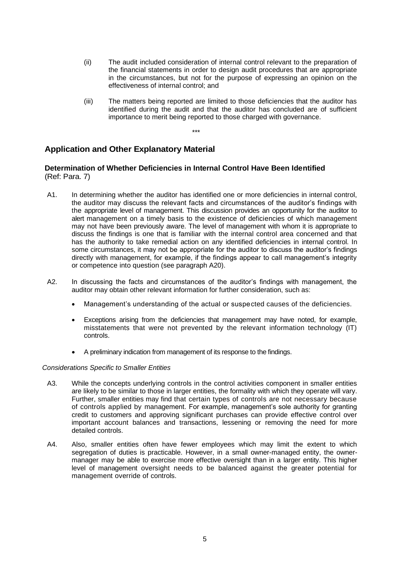- (ii) The audit included consideration of internal control relevant to the preparation of the financial statements in order to design audit procedures that are appropriate in the circumstances, but not for the purpose of expressing an opinion on the effectiveness of internal control; and
- (iii) The matters being reported are limited to those deficiencies that the auditor has identified during the audit and that the auditor has concluded are of sufficient importance to merit being reported to those charged with governance.

\*\*\*

## **Application and Other Explanatory Material**

#### **Determination of Whether Deficiencies in Internal Control Have Been Identified**  (Ref: Para. 7)

- A1. In determining whether the auditor has identified one or more deficiencies in internal control, the auditor may discuss the relevant facts and circumstances of the auditor's findings with the appropriate level of management. This discussion provides an opportunity for the auditor to alert management on a timely basis to the existence of deficiencies of which management may not have been previously aware. The level of management with whom it is appropriate to discuss the findings is one that is familiar with the internal control area concerned and that has the authority to take remedial action on any identified deficiencies in internal control. In some circumstances, it may not be appropriate for the auditor to discuss the auditor's findings directly with management, for example, if the findings appear to call management's integrity or competence into question (see paragraph A20).
- A2. In discussing the facts and circumstances of the auditor's findings with management, the auditor may obtain other relevant information for further consideration, such as:
	- Management's understanding of the actual or suspected causes of the deficiencies.
	- Exceptions arising from the deficiencies that management may have noted, for example, misstatements that were not prevented by the relevant information technology (IT) controls.
	- A preliminary indication from management of its response to the findings.

#### *Considerations Specific to Smaller Entities*

- A3. While the concepts underlying controls in the control activities component in smaller entities are likely to be similar to those in larger entities, the formality with which they operate will vary. Further, smaller entities may find that certain types of controls are not necessary because of controls applied by management. For example, management's sole authority for granting credit to customers and approving significant purchases can provide effective control over important account balances and transactions, lessening or removing the need for more detailed controls.
- A4. Also, smaller entities often have fewer employees which may limit the extent to which segregation of duties is practicable. However, in a small owner-managed entity, the ownermanager may be able to exercise more effective oversight than in a larger entity. This higher level of management oversight needs to be balanced against the greater potential for management override of controls.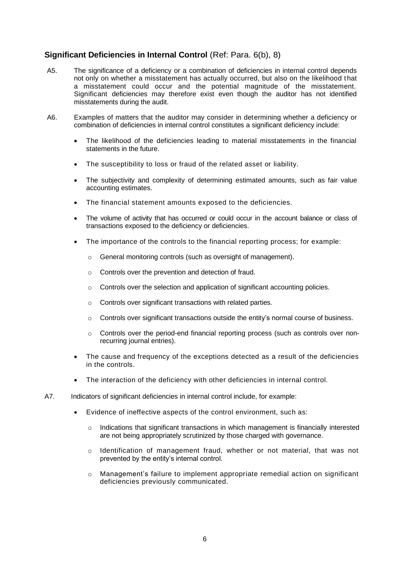### **Significant Deficiencies in Internal Control (Ref: Para. 6(b), 8)**

- A5. The significance of a deficiency or a combination of deficiencies in internal control depends not only on whether a misstatement has actually occurred, but also on the likelihood t hat a misstatement could occur and the potential magnitude of the misstatement. Significant deficiencies may therefore exist even though the auditor has not identified misstatements during the audit.
- A6. Examples of matters that the auditor may consider in determining whether a deficiency or combination of deficiencies in internal control constitutes a significant deficiency include:
	- The likelihood of the deficiencies leading to material misstatements in the financial statements in the future.
	- The susceptibility to loss or fraud of the related asset or liability.
	- The subjectivity and complexity of determining estimated amounts, such as fair value accounting estimates.
	- The financial statement amounts exposed to the deficiencies.
	- The volume of activity that has occurred or could occur in the account balance or class of transactions exposed to the deficiency or deficiencies.
	- The importance of the controls to the financial reporting process; for example:
		- o General monitoring controls (such as oversight of management).
		- o Controls over the prevention and detection of fraud.
		- o Controls over the selection and application of significant accounting policies.
		- o Controls over significant transactions with related parties.
		- $\circ$  Controls over significant transactions outside the entity's normal course of business.
		- $\circ$  Controls over the period-end financial reporting process (such as controls over nonrecurring journal entries).
	- The cause and frequency of the exceptions detected as a result of the deficiencies in the controls.
	- The interaction of the deficiency with other deficiencies in internal control.
- A7. Indicators of significant deficiencies in internal control include, for example:
	- Evidence of ineffective aspects of the control environment, such as:
		- $\circ$  Indications that significant transactions in which management is financially interested are not being appropriately scrutinized by those charged with governance.
		- $\circ$  Identification of management fraud, whether or not material, that was not prevented by the entity's internal control.
		- o Management's failure to implement appropriate remedial action on significant deficiencies previously communicated.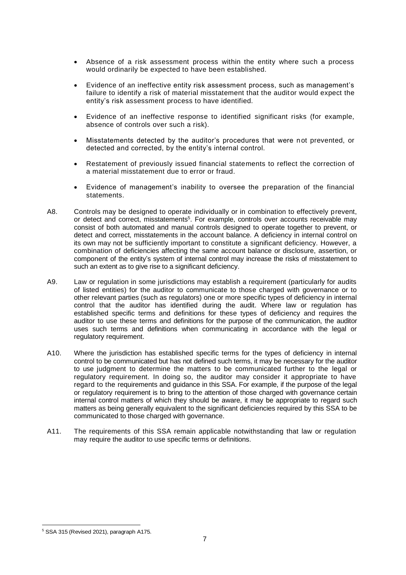- Absence of a risk assessment process within the entity where such a process would ordinarily be expected to have been established.
- Evidence of an ineffective entity risk assessment process, such as management's failure to identify a risk of material misstatement that the auditor would expect the entity's risk assessment process to have identified.
- Evidence of an ineffective response to identified significant risks (for example, absence of controls over such a risk).
- Misstatements detected by the auditor's procedures that were not prevented, or detected and corrected, by the entity's internal control.
- Restatement of previously issued financial statements to reflect the correction of a material misstatement due to error or fraud.
- Evidence of management's inability to oversee the preparation of the financial statements.
- A8. Controls may be designed to operate individually or in combination to effectively prevent, or detect and correct, misstatements<sup>5</sup>. For example, controls over accounts receivable may consist of both automated and manual controls designed to operate together to prevent, or detect and correct, misstatements in the account balance. A deficiency in internal control on its own may not be sufficiently important to constitute a significant deficiency. However, a combination of deficiencies affecting the same account balance or disclosure, assertion, or component of the entity's system of internal control may increase the risks of misstatement to such an extent as to give rise to a significant deficiency.
- A9. Law or regulation in some jurisdictions may establish a requirement (particularly for audits of listed entities) for the auditor to communicate to those charged with governance or to other relevant parties (such as regulators) one or more specific types of deficiency in internal control that the auditor has identified during the audit. Where law or regulation has established specific terms and definitions for these types of deficiency and requires the auditor to use these terms and definitions for the purpose of the communication, the auditor uses such terms and definitions when communicating in accordance with the legal or regulatory requirement.
- A10. Where the jurisdiction has established specific terms for the types of deficiency in internal control to be communicated but has not defined such terms, it may be necessary for the auditor to use judgment to determine the matters to be communicated further to the legal or regulatory requirement. In doing so, the auditor may consider it appropriate to have regard to the requirements and guidance in this SSA. For example, if the purpose of the legal or regulatory requirement is to bring to the attention of those charged with governance certain internal control matters of which they should be aware, it may be appropriate to regard such matters as being generally equivalent to the significant deficiencies required by this SSA to be communicated to those charged with governance.
- A11. The requirements of this SSA remain applicable notwithstanding that law or regulation may require the auditor to use specific terms or definitions.

<sup>5</sup> SSA 315 (Revised 2021), paragraph A175.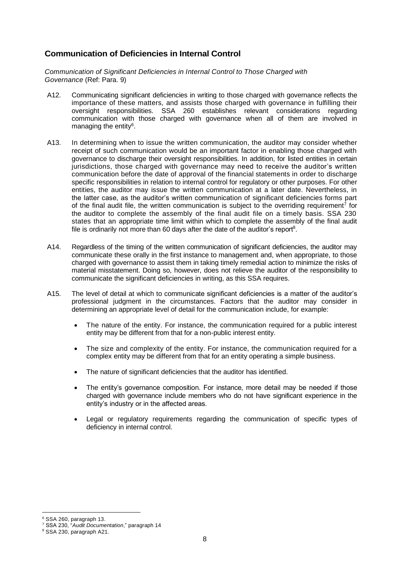### **Communication of Deficiencies in Internal Control**

*Communication of Significant Deficiencies in Internal Control to Those Charged with Governance* (Ref: Para. 9)

- A12. Communicating significant deficiencies in writing to those charged with governance reflects the importance of these matters, and assists those charged with governance in fulfilling their oversight responsibilities. SSA 260 establishes relevant considerations regarding communication with those charged with governance when all of them are involved in managing the entity<sup>6</sup>.
- A13. In determining when to issue the written communication, the auditor may consider whether receipt of such communication would be an important factor in enabling those charged with governance to discharge their oversight responsibilities. In addition, for listed entities in certain jurisdictions, those charged with governance may need to receive the auditor's written communication before the date of approval of the financial statements in order to discharge specific responsibilities in relation to internal control for regulatory or other purposes. For other entities, the auditor may issue the written communication at a later date. Nevertheless, in the latter case, as the auditor's written communication of significant deficiencies forms part of the final audit file, the written communication is subject to the overriding requirement<sup>7</sup> for the auditor to complete the assembly of the final audit file on a timely basis. SSA 230 states that an appropriate time limit within which to complete the assembly of the final audit file is ordinarily not more than 60 days after the date of the auditor's report<sup>8</sup>.
- A14. Regardless of the timing of the written communication of significant deficiencies, the auditor may communicate these orally in the first instance to management and, when appropriate, to those charged with governance to assist them in taking timely remedial action to minimize the risks of material misstatement. Doing so, however, does not relieve the auditor of the responsibility to communicate the significant deficiencies in writing, as this SSA requires.
- A15. The level of detail at which to communicate significant deficiencies is a matter of the auditor's professional judgment in the circumstances. Factors that the auditor may consider in determining an appropriate level of detail for the communication include, for example:
	- The nature of the entity. For instance, the communication required for a public interest entity may be different from that for a non-public interest entity.
	- The size and complexity of the entity. For instance, the communication required for a complex entity may be different from that for an entity operating a simple business.
	- The nature of significant deficiencies that the auditor has identified.
	- The entity's governance composition. For instance, more detail may be needed if those charged with governance include members who do not have significant experience in the entity's industry or in the affected areas.
	- Legal or regulatory requirements regarding the communication of specific types of deficiency in internal control.

<sup>6</sup> SSA 260, paragraph 13.

<sup>7</sup> SSA 230, "*Audit Documentation*," paragraph 14

<sup>&</sup>lt;sup>8</sup> SSA 230, paragraph A21.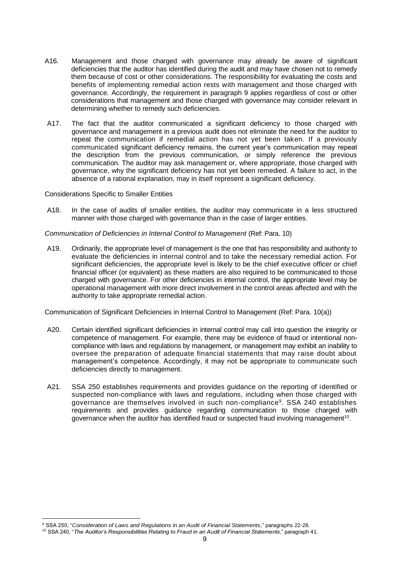- A16. Management and those charged with governance may already be aware of significant deficiencies that the auditor has identified during the audit and may have chosen not to remedy them because of cost or other considerations. The responsibility for evaluating the costs and benefits of implementing remedial action rests with management and those charged with governance. Accordingly, the requirement in paragraph 9 applies regardless of cost or other considerations that management and those charged with governance may consider relevant in determining whether to remedy such deficiencies.
- A17. The fact that the auditor communicated a significant deficiency to those charged with governance and management in a previous audit does not eliminate the need for the auditor to repeat the communication if remedial action has not yet been taken. If a previously communicated significant deficiency remains, the current year's communication may repeat the description from the previous communication, or simply reference the previous communication. The auditor may ask management or, where appropriate, those charged with governance, why the significant deficiency has not yet been remedied. A failure to act, in the absence of a rational explanation, may in itself represent a significant deficiency.

Considerations Specific to Smaller Entities

A18. In the case of audits of smaller entities, the auditor may communicate in a less structured manner with those charged with governance than in the case of larger entities.

#### *Communication of Deficiencies in Internal Control to Management* (Ref: Para. 10)

A19. Ordinarily, the appropriate level of management is the one that has responsibility and authority to evaluate the deficiencies in internal control and to take the necessary remedial action. For significant deficiencies, the appropriate level is likely to be the chief executive officer or chief financial officer (or equivalent) as these matters are also required to be communicated to those charged with governance. For other deficiencies in internal control, the appropriate level may be operational management with more direct involvement in the control areas affected and with the authority to take appropriate remedial action.

Communication of Significant Deficiencies in Internal Control to Management (Ref: Para. 10(a))

- A20. Certain identified significant deficiencies in internal control may call into question the integrity or competence of management. For example, there may be evidence of fraud or intentional noncompliance with laws and regulations by management, or management may exhibit an inability to oversee the preparation of adequate financial statements that may raise doubt about management's competence. Accordingly, it may not be appropriate to communicate such deficiencies directly to management.
- A21. SSA 250 establishes requirements and provides guidance on the reporting of identified or suspected non-compliance with laws and regulations, including when those charged with governance are themselves involved in such non-compliance<sup>9</sup>. SSA 240 establishes requirements and provides guidance regarding communication to those charged with governance when the auditor has identified fraud or suspected fraud involving management<sup>10</sup>.

<sup>9</sup> SSA 250, "*Consideration of Laws and Regulations in an Audit of Financial Statements*," paragraphs 22-28.

<sup>10</sup> SSA 240, "*The Auditor's Responsibilities Relating to Fraud in an Audit of Financial Statements*," paragraph 41.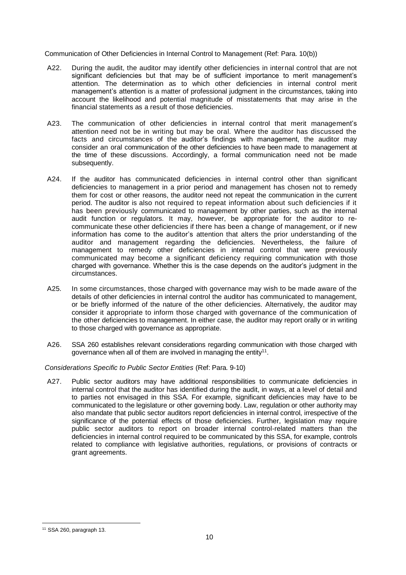Communication of Other Deficiencies in Internal Control to Management (Ref: Para. 10(b))

- A22. During the audit, the auditor may identify other deficiencies in internal control that are not significant deficiencies but that may be of sufficient importance to merit management's attention. The determination as to which other deficiencies in internal control merit management's attention is a matter of professional judgment in the circumstances, taking into account the likelihood and potential magnitude of misstatements that may arise in the financial statements as a result of those deficiencies.
- A23. The communication of other deficiencies in internal control that merit management's attention need not be in writing but may be oral. Where the auditor has discussed the facts and circumstances of the auditor's findings with management, the auditor may consider an oral communication of the other deficiencies to have been made to management at the time of these discussions. Accordingly, a formal communication need not be made subsequently.
- A24. If the auditor has communicated deficiencies in internal control other than significant deficiencies to management in a prior period and management has chosen not to remedy them for cost or other reasons, the auditor need not repeat the communication in the current period. The auditor is also not required to repeat information about such deficiencies if it has been previously communicated to management by other parties, such as the internal audit function or regulators. It may, however, be appropriate for the auditor to recommunicate these other deficiencies if there has been a change of management, or if new information has come to the auditor's attention that alters the prior understanding of the auditor and management regarding the deficiencies. Nevertheless, the failure of management to remedy other deficiencies in internal control that were previously communicated may become a significant deficiency requiring communication with those charged with governance. Whether this is the case depends on the auditor's judgment in the circumstances.
- A25. In some circumstances, those charged with governance may wish to be made aware of the details of other deficiencies in internal control the auditor has communicated to management, or be briefly informed of the nature of the other deficiencies. Alternatively, the auditor may consider it appropriate to inform those charged with governance of the communication of the other deficiencies to management. In either case, the auditor may report orally or in writing to those charged with governance as appropriate.
- A26. SSA 260 establishes relevant considerations regarding communication with those charged with governance when all of them are involved in managing the entity<sup>11</sup>.

#### *Considerations Specific to Public Sector Entities* (Ref: Para. 9-10)

A27. Public sector auditors may have additional responsibilities to communicate deficiencies in internal control that the auditor has identified during the audit, in ways, at a level of detail and to parties not envisaged in this SSA. For example, significant deficiencies may have to be communicated to the legislature or other governing body. Law, regulation or other authority may also mandate that public sector auditors report deficiencies in internal control, irrespective of the significance of the potential effects of those deficiencies. Further, legislation may require public sector auditors to report on broader internal control-related matters than the deficiencies in internal control required to be communicated by this SSA, for example, controls related to compliance with legislative authorities, regulations, or provisions of contracts or grant agreements.

<sup>11</sup> SSA 260, paragraph 13.